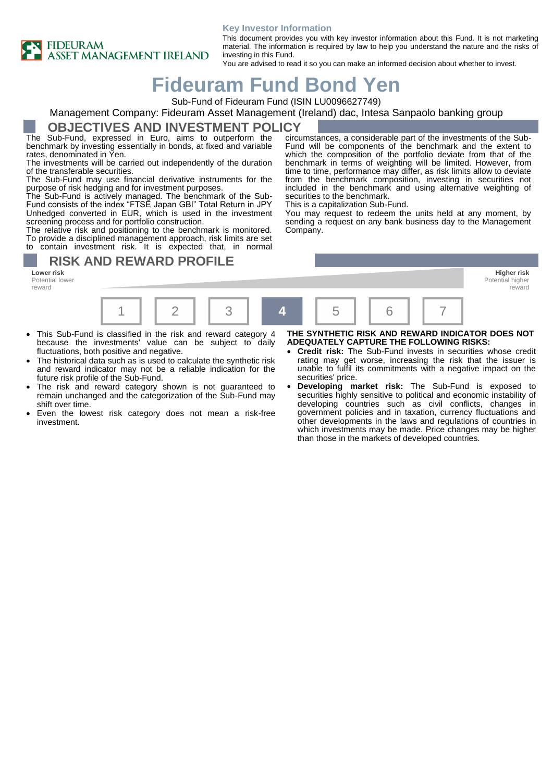#### **Key Investor Information**



This document provides you with key investor information about this Fund. It is not marketing material. The information is required by law to help you understand the nature and the risks of investing in this Fund.

You are advised to read it so you can make an informed decision about whether to invest.

# **Fideuram Fund Bond Yen**

Sub-Fund of Fideuram Fund (ISIN LU0096627749)

# Management Company: Fideuram Asset Management (Ireland) dac, Intesa Sanpaolo banking group

#### **OBJECTIVES AND INVESTMENT POLICY**

The Sub-Fund, expressed in Euro, aims to outperform the benchmark by investing essentially in bonds, at fixed and variable rates, denominated in Yen.

The investments will be carried out independently of the duration of the transferable securities.

The Sub-Fund may use financial derivative instruments for the purpose of risk hedging and for investment purposes.

The Sub-Fund is actively managed. The benchmark of the Sub-Fund consists of the index "FTSE Japan GBI" Total Return in JPY Unhedged converted in EUR, which is used in the investment screening process and for portfolio construction.

The relative risk and positioning to the benchmark is monitored. To provide a disciplined management approach, risk limits are set contain investment risk. It is expected that, in normal

### **RISK AND REWARD PROFILE**

**Lower risk Higher risk** Potential lower reward



- This Sub-Fund is classified in the risk and reward category 4 because the investments' value can be subject to daily fluctuations, both positive and negative.
- The historical data such as is used to calculate the synthetic risk and reward indicator may not be a reliable indication for the future risk profile of the Sub-Fund.
- The risk and reward category shown is not guaranteed to remain unchanged and the categorization of the Sub-Fund may shift over time.
- Even the lowest risk category does not mean a risk-free investment.

circumstances, a considerable part of the investments of the Sub-Fund will be components of the benchmark and the extent to which the composition of the portfolio deviate from that of the benchmark in terms of weighting will be limited. However, from time to time, performance may differ, as risk limits allow to deviate from the benchmark composition, investing in securities not included in the benchmark and using alternative weighting of securities to the benchmark.

This is a capitalization Sub-Fund.

You may request to redeem the units held at any moment, by sending a request on any bank business day to the Management Company.

#### **THE SYNTHETIC RISK AND REWARD INDICATOR DOES NOT ADEQUATELY CAPTURE THE FOLLOWING RISKS:**

Potential higher reward

- **Credit risk:** The Sub-Fund invests in securities whose credit rating may get worse, increasing the risk that the issuer is unable to fulfil its commitments with a negative impact on the securities' price.
- **Developing market risk:** The Sub-Fund is exposed to securities highly sensitive to political and economic instability of developing countries such as civil conflicts, changes in government policies and in taxation, currency fluctuations and other developments in the laws and regulations of countries in which investments may be made. Price changes may be higher than those in the markets of developed countries.